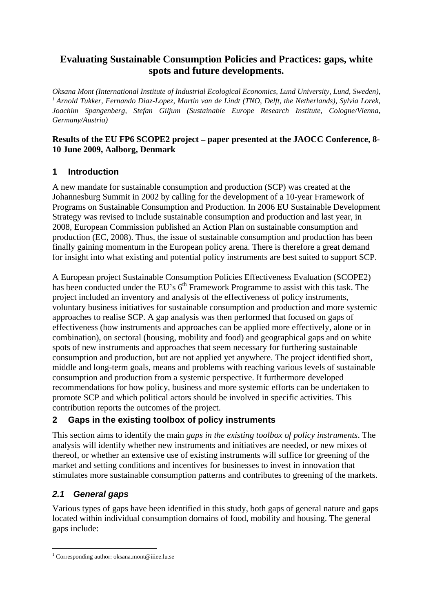## **Evaluating Sustainable Consumption Policies and Practices: gaps, white spots and future developments.**

*Oksana Mont (International Institute of Industrial Ecological Economics, Lund University, Lund, Sweden), <sup>1</sup> Arnold Tukker, Fernando Diaz-Lopez, Martin van de Lindt (TNO, Delft,the Netherlands), Sylvia Lorek, Joachim Spangenberg, Stefan Giljum (Sustainable Europe Research Institute, Cologne/Vienna, Germany/Austria)*

#### **Results of the EU FP6 SCOPE2 project paper presented at the JAOCC Conference, 8- 10 June 2009, Aalborg, Denmark**

### **1 Introduction**

A new mandate for sustainable consumption and production (SCP) was created at the Johannesburg Summit in 2002 by calling for the development of a 10-year Framework of Programs on Sustainable Consumption and Production. In 2006 EU Sustainable Development Strategy was revised to include sustainable consumption and production and last year, in 2008, European Commission published an Action Plan on sustainable consumption and production (EC, 2008). Thus, the issue of sustainable consumption and production has been finally gaining momentum in the European policy arena. There is therefore a great demand for insight into what existing and potential policy instruments are best suited to support SCP.

A European project Sustainable Consumption Policies Effectiveness Evaluation (SCOPE2) has been conducted under the EU's  $6<sup>th</sup>$  Framework Programme to assist with this task. The project included an inventory and analysis of the effectiveness of policy instruments, voluntary business initiatives for sustainable consumption and production and more systemic approaches to realise SCP. A gap analysis was then performed that focused on gaps of effectiveness (how instruments and approaches can be applied more effectively, alone or in combination), on sectoral (housing, mobility and food) and geographical gaps and on white spots of new instruments and approaches that seem necessary for furthering sustainable consumption and production, but are not applied yet anywhere. The project identified short, middle and long-term goals, means and problems with reaching various levels of sustainable consumption and production from a systemic perspective. It furthermore developed recommendations for how policy, business and more systemic efforts can be undertaken to promote SCP and which political actors should be involved in specific activities. This contribution reports the outcomes of the project.

## **2 Gaps in the existing toolbox of policy instruments**

This section aims to identify the main *gaps in the existing toolbox of policy instruments*. The analysis will identify whether new instruments and initiatives are needed, or new mixes of thereof, or whether an extensive use of existing instruments will suffice for greening of the market and setting conditions and incentives for businesses to invest in innovation that stimulates more sustainable consumption patterns and contributes to greening of the markets.

## **2.1 General gaps**

Various types of gaps have been identified in this study, both gaps of general nature and gaps located within individual consumption domains of food, mobility and housing. The general gaps include:

 $\frac{1}{1}$  Corresponding surface glasses mont @iiioo ly so <sup>1</sup> Corresponding author: oksana.mont@iiiee.lu.se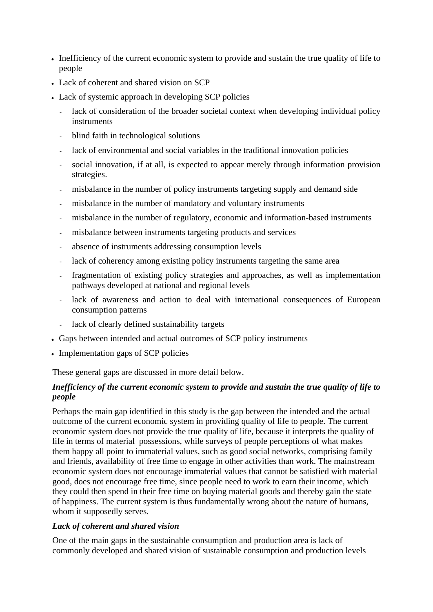- Inefficiency of the current economic system to provide and sustain the true quality of life to people
- Lack of coherent and shared vision on SCP
- Lack of systemic approach in developing SCP policies
	- lack of consideration of the broader societal context when developing individual policy instruments
	- blind faith in technological solutions
	- lack of environmental and social variables in the traditional innovation policies
	- social innovation, if at all, is expected to appear merely through information provision strategies.
	- misbalance in the number of policy instruments targeting supply and demand side
	- misbalance in the number of mandatory and voluntary instruments
	- misbalance in the number of regulatory, economic and information-based instruments
	- misbalance between instruments targeting products and services
	- absence of instruments addressing consumption levels
	- lack of coherency among existing policy instruments targeting the same area
	- fragmentation of existing policy strategies and approaches, as well as implementation pathways developed at national and regional levels
	- lack of awareness and action to deal with international consequences of European consumption patterns
	- lack of clearly defined sustainability targets
- Gaps between intended and actual outcomes of SCP policy instruments
- Implementation gaps of SCP policies

These general gaps are discussed in more detail below.

#### *Inefficiency of the current economic system to provide and sustain the true quality of life to people*

Perhaps the main gap identified in this study is the gap between the intended and the actual outcome of the current economic system in providing quality of life to people. The current economic system does not provide the true quality of life, because it interprets the quality of life in terms of material possessions, while surveys of people perceptions of what makes them happy all point to immaterial values, such as good social networks, comprising family and friends, availability of free time to engage in other activities than work. The mainstream economic system does not encourage immaterial values that cannot be satisfied with material good, does not encourage free time, since people need to work to earn their income, which they could then spend in their free time on buying material goods and thereby gain the state of happiness. The current system is thus fundamentally wrong about the nature of humans, whom it supposedly serves.

#### *Lack of coherent and shared vision*

One of the main gaps in the sustainable consumption and production area is lack of commonly developed and shared vision of sustainable consumption and production levels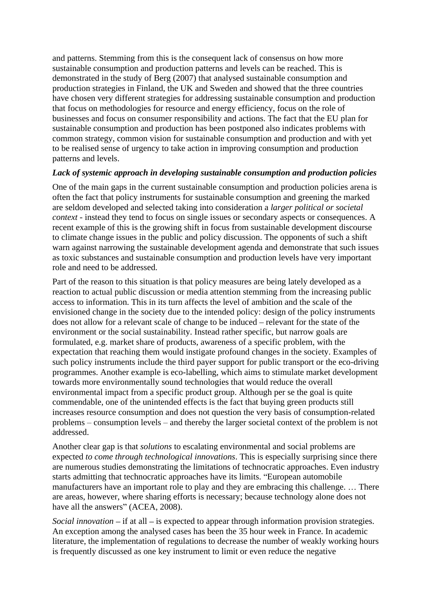and patterns. Stemming from this is the consequent lack of consensus on how more sustainable consumption and production patterns and levels can be reached. This is demonstrated in the study of Berg (2007) that analysed sustainable consumption and production strategies in Finland, the UK and Sweden and showed that the three countries have chosen very different strategies for addressing sustainable consumption and production that focus on methodologies for resource and energy efficiency, focus on the role of businesses and focus on consumer responsibility and actions. The fact that the EU plan for sustainable consumption and production has been postponed also indicates problems with common strategy, common vision for sustainable consumption and production and with yet to be realised sense of urgency to take action in improving consumption and production patterns and levels.

#### *Lack of systemic approach in developing sustainable consumption and production policies*

One of the main gaps in the current sustainable consumption and production policies arena is often the fact that policy instruments for sustainable consumption and greening the marked are seldom developed and selected taking into consideration a *larger political or societal context* - instead they tend to focus on single issues or secondary aspects or consequences. A recent example of this is the growing shift in focus from sustainable development discourse to climate change issues in the public and policy discussion. The opponents of such a shift warn against narrowing the sustainable development agenda and demonstrate that such issues as toxic substances and sustainable consumption and production levels have very important role and need to be addressed.

Part of the reason to this situation is that policy measures are being lately developed as a reaction to actual public discussion or media attention stemming from the increasing public access to information. This in its turn affects the level of ambition and the scale of the envisioned change in the society due to the intended policy: design of the policy instruments does not allow for a relevant scale of change to be induced – relevant for the state of the environment or the social sustainability. Instead rather specific, but narrow goals are formulated, e.g. market share of products, awareness of a specific problem, with the expectation that reaching them would instigate profound changes in the society. Examples of such policy instruments include the third payer support for public transport or the eco-driving programmes. Another example is eco-labelling, which aims to stimulate market development towards more environmentally sound technologies that would reduce the overall environmental impact from a specific product group. Although per se the goal is quite commendable, one of the unintended effects is the fact that buying green products still increases resource consumption and does not question the very basis of consumption-related problems – consumption levels – and thereby the larger societal context of the problem is not addressed.

Another clear gap is that *solutions* to escalating environmental and social problems are expected *to come through technological innovations*. This is especially surprising since there are numerous studies demonstrating the limitations of technocratic approaches. Even industry starts admitting that technocratic approaches have its limits. "European automobile manufacturers have an important role to play and they are embracing this challenge. ... There are areas, however, where sharing efforts is necessary; because technology alone does not have all the answers" (ACEA, 2008).

*Social innovation*  $-$  if at all  $-$  is expected to appear through information provision strategies. An exception among the analysed cases has been the 35 hour week in France. In academic literature, the implementation of regulations to decrease the number of weakly working hours is frequently discussed as one key instrument to limit or even reduce the negative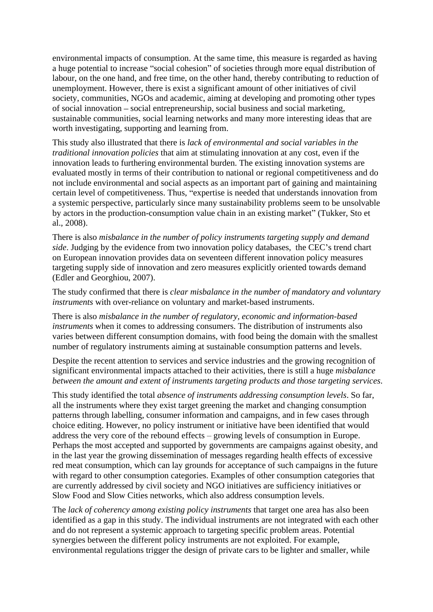environmental impacts of consumption. At the same time, this measure is regarded as having a huge potential to increase "social cohesion" of societies through more equal distribution of labour, on the one hand, and free time, on the other hand, thereby contributing to reduction of unemployment. However, there is exist a significant amount of other initiatives of civil society, communities, NGOs and academic, aiming at developing and promoting other types of social innovation – social entrepreneurship, social business and social marketing, sustainable communities, social learning networks and many more interesting ideas that are worth investigating, supporting and learning from.

This study also illustrated that there is *lack of environmental and social variables in the traditional innovation policies* that aim at stimulating innovation at any cost, even if the innovation leads to furthering environmental burden. The existing innovation systems are evaluated mostly in terms of their contribution to national or regional competitiveness and do not include environmental and social aspects as an important part of gaining and maintaining certain level of competitiveness. Thus, "expertise is needed that understands innovation from a systemic perspective, particularly since many sustainability problems seem to be unsolvable by actors in the production-consumption value chain in an existing market" (Tukker, Sto et al., 2008).

There is also *misbalance in the number of policy instruments targeting supply and demand side*. Judging by the evidence from two innovation policy databases, the CEC's trend chart on European innovation provides data on seventeen different innovation policy measures targeting supply side of innovation and zero measures explicitly oriented towards demand (Edler and Georghiou, 2007).

The study confirmed that there is *clear misbalance in the number of mandatory and voluntary instruments* with over-reliance on voluntary and market-based instruments.

There is also *misbalance in the number of regulatory, economic and information-based instruments* when it comes to addressing consumers. The distribution of instruments also varies between different consumption domains, with food being the domain with the smallest number of regulatory instruments aiming at sustainable consumption patterns and levels.

Despite the recent attention to services and service industries and the growing recognition of significant environmental impacts attached to their activities, there is still a huge *misbalance between the amount and extent of instruments targeting products and those targeting services*.

This study identified the total *absence of instruments addressing consumption levels*. So far, all the instruments where they exist target greening the market and changing consumption patterns through labelling, consumer information and campaigns, and in few cases through choice editing. However, no policy instrument or initiative have been identified that would address the very core of the rebound effects – growing levels of consumption in Europe. Perhaps the most accepted and supported by governments are campaigns against obesity, and in the last year the growing dissemination of messages regarding health effects of excessive red meat consumption, which can lay grounds for acceptance of such campaigns in the future with regard to other consumption categories. Examples of other consumption categories that are currently addressed by civil society and NGO initiatives are sufficiency initiatives or Slow Food and Slow Cities networks, which also address consumption levels.

The *lack of coherency among existing policy instruments* that target one area has also been identified as a gap in this study. The individual instruments are not integrated with each other and do not represent a systemic approach to targeting specific problem areas. Potential synergies between the different policy instruments are not exploited. For example, environmental regulations trigger the design of private cars to be lighter and smaller, while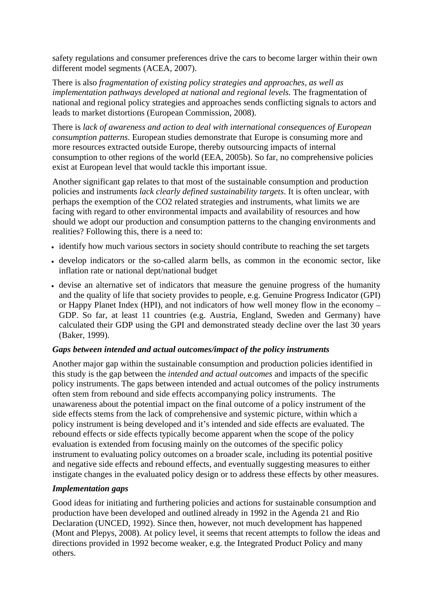safety regulations and consumer preferences drive the cars to become larger within their own different model segments (ACEA, 2007). There is also *fragmentation of existing policy strategies and approaches, as well as* 

*implementation pathways developed at national and regional levels.* The fragmentation of national and regional policy strategies and approaches sends conflicting signals to actors and leads to market distortions (European Commission, 2008).

There is *lack of awareness and action to deal with international consequences of European consumption patterns*. European studies demonstrate that Europe is consuming more and more resources extracted outside Europe, thereby outsourcing impacts of internal consumption to other regions of the world (EEA, 2005b). So far, no comprehensive policies exist at European level that would tackle this important issue.

Another significant gap relates to that most of the sustainable consumption and production policies and instruments *lack clearly defined sustainability targets*. It is often unclear, with perhaps the exemption of the CO2 related strategies and instruments, what limits we are facing with regard to other environmental impacts and availability of resources and how should we adopt our production and consumption patterns to the changing environments and realities? Following this, there is a need to:

- identify how much various sectors in society should contribute to reaching the set targets
- develop indicators or the so-called alarm bells, as common in the economic sector, like inflation rate or national dept/national budget
- devise an alternative set of indicators that measure the genuine progress of the humanity and the quality of life that society provides to people, e.g. Genuine Progress Indicator (GPI) or Happy Planet Index (HPI), and not indicators of how well money flow in the economy GDP. So far, at least 11 countries (e.g. Austria, England, Sweden and Germany) have calculated their GDP using the GPI and demonstrated steady decline over the last 30 years (Baker, 1999).

#### *Gaps between intended and actual outcomes/impact of the policy instruments*

Another major gap within the sustainable consumption and production policies identified in this study is the gap between the *intended and actual outcomes* and impacts of the specific policy instruments. The gaps between intended and actual outcomes of the policy instruments often stem from rebound and side effects accompanying policy instruments. The unawareness about the potential impact on the final outcome of a policy instrument of the side effects stems from the lack of comprehensive and systemic picture, within which a policy instrument is being developed and it's intended and side effects are evaluated. The rebound effects or side effects typically become apparent when the scope of the policy evaluation is extended from focusing mainly on the outcomes of the specific policy instrument to evaluating policy outcomes on a broader scale, including its potential positive and negative side effects and rebound effects, and eventually suggesting measures to either instigate changes in the evaluated policy design or to address these effects by other measures.

#### *Implementation gaps*

Good ideas for initiating and furthering policies and actions for sustainable consumption and production have been developed and outlined already in 1992 in the Agenda 21 and Rio Declaration (UNCED, 1992). Since then, however, not much development has happened (Mont and Plepys, 2008). At policy level, it seems that recent attempts to follow the ideas and directions provided in 1992 become weaker, e.g. the Integrated Product Policy and many others.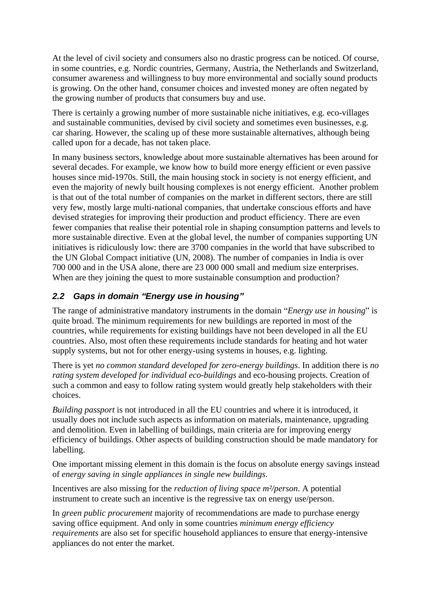At the level of civil society and consumers also no drastic progress can be noticed. Of course, in some countries, e.g. Nordic countries, Germany, Austria, the Netherlands and Switzerland, consumer awareness and willingness to buy more environmental and socially sound products is growing. On the other hand, consumer choices and invested money are often negated by the growing number of products that consumers buy and use.

There is certainly a growing number of more sustainable niche initiatives, e.g. eco-villages and sustainable communities, devised by civil society and sometimes even businesses, e.g. car sharing. However, the scaling up of these more sustainable alternatives, although being called upon for a decade, has not taken place.

In many business sectors, knowledge about more sustainable alternatives has been around for several decades. For example, we know how to build more energy efficient or even passive houses since mid-1970s. Still, the main housing stock in society is not energy efficient, and even the majority of newly built housing complexes is not energy efficient. Another problem is that out of the total number of companies on the market in different sectors, there are still very few, mostly large multi-national companies, that undertake conscious efforts and have devised strategies for improving their production and product efficiency. There are even fewer companies that realise their potential role in shaping consumption patterns and levels to more sustainable directive. Even at the global level, the number of companies supporting UN initiatives is ridiculously low: there are 3700 companies in the world that have subscribed to the UN Global Compact initiative (UN, 2008). The number of companies in India is over 700 000 and in the USA alone, there are 23 000 000 small and medium size enterprises. When are they joining the quest to more sustainable consumption and production?

### **2.2 Gaps in domain Energy use in housing**

The range of administrative mandatory instruments in the domain *''Energy use in housing*'' is quite broad. The minimum requirements for new buildings are reported in most of the countries, while requirements for existing buildings have not been developed in all the EU countries. Also, most often these requirements include standards for heating and hot water supply systems, but not for other energy-using systems in houses, e.g. lighting.

There is yet *no common standard developed for zero-energy buildings*. In addition there is *no rating system developed for individual eco-buildings* and eco-housing projects. Creation of such a common and easy to follow rating system would greatly help stakeholders with their choices.

*Building passport* is not introduced in all the EU countries and where it is introduced, it usually does not include such aspects as information on materials, maintenance, upgrading and demolition. Even in labelling of buildings, main criteria are for improving energy efficiency of buildings. Other aspects of building construction should be made mandatory for labelling.

One important missing element in this domain is the focus on absolute energy savings instead of *energy saving in single appliances in single new buildings*. Incentives are also missing for the *reduction of living space m²/person*. A potential

instrument to create such an incentive is the regressive tax on energy use/person.

In *green public procurement* majority of recommendations are made to purchase energy saving office equipment. And only in some countries *minimum energy efficiency requirements* are also set for specific household appliances to ensure that energy-intensive appliances do not enter the market.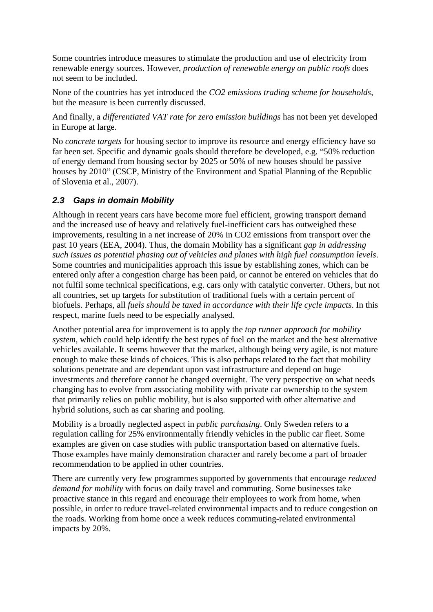Some countries introduce measures to stimulate the production and use of electricity from renewable energy sources. However, *production of renewable energy on public roofs* does not seem to be included.

None of the countries has yet introduced the *CO2 emissions trading scheme for households*, but the measure is been currently discussed.

And finally, a *differentiated VAT rate for zero emission buildings* has not been yet developed in Europe at large.

No *concrete targets* for housing sector to improve its resource and energy efficiency have so far been set. Specific and dynamic goals should therefore be developed, e.g. "50% reduction of energy demand from housing sector by 2025 or 50% of new houses should be passive houses by 2010" (CSCP, Ministry of the Environment and Spatial Planning of the Republic of Slovenia et al., 2007).

## **2.3 Gaps in domain Mobility**

Although in recent years cars have become more fuel efficient, growing transport demand and the increased use of heavy and relatively fuel-inefficient cars has outweighed these improvements, resulting in a net increase of 20% in CO2 emissions from transport over the past 10 years (EEA, 2004). Thus, the domain Mobility has a significant *gap in addressing such issues as potential phasing out of vehicles and planes with high fuel consumption levels*. Some countries and municipalities approach this issue by establishing zones, which can be entered only after a congestion charge has been paid, or cannot be entered on vehicles that do not fulfil some technical specifications, e.g. cars only with catalytic converter. Others, but not all countries, set up targets for substitution of traditional fuels with a certain percent of biofuels. Perhaps, all *fuels should be taxed in accordance with their life cycle impacts*. In this respect, marine fuels need to be especially analysed.

Another potential area for improvement is to apply the *top runner approach for mobility system*, which could help identify the best types of fuel on the market and the best alternative vehicles available. It seems however that the market, although being very agile, is not mature enough to make these kinds of choices. This is also perhaps related to the fact that mobility solutions penetrate and are dependant upon vast infrastructure and depend on huge investments and therefore cannot be changed overnight. The very perspective on what needs changing has to evolve from associating mobility with private car ownership to the system that primarily relies on public mobility, but is also supported with other alternative and hybrid solutions, such as car sharing and pooling.

Mobility is a broadly neglected aspect in *public purchasing*. Only Sweden refers to a regulation calling for 25% environmentally friendly vehicles in the public car fleet. Some examples are given on case studies with public transportation based on alternative fuels. Those examples have mainly demonstration character and rarely become a part of broader recommendation to be applied in other countries.

There are currently very few programmes supported by governments that encourage *reduced demand for mobility* with focus on daily travel and commuting. Some businesses take proactive stance in this regard and encourage their employees to work from home, when possible, in order to reduce travel-related environmental impacts and to reduce congestion on the roads. Working from home once a week reduces commuting-related environmental impacts by 20%.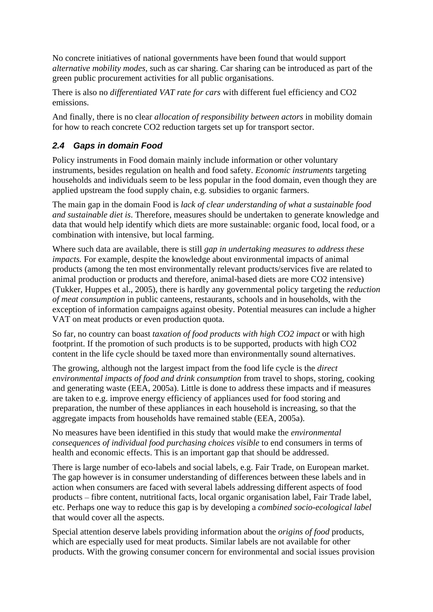No concrete initiatives of national governments have been found that would support *alternative mobility modes*, such as car sharing. Car sharing can be introduced as part of the green public procurement activities for all public organisations.

There is also no *differentiated VAT rate for cars* with different fuel efficiency and CO2 emissions.

And finally, there is no clear *allocation of responsibility between actors* in mobility domain for how to reach concrete CO2 reduction targets set up for transport sector.

# **2.4 Gaps in domain Food**

Policy instruments in Food domain mainly include information or other voluntary instruments, besides regulation on health and food safety. *Economic instruments* targeting households and individuals seem to be less popular in the food domain, even though they are applied upstream the food supply chain, e.g. subsidies to organic farmers.

The main gap in the domain Food is *lack of clear understanding of what a sustainable food and sustainable diet is*. Therefore, measures should be undertaken to generate knowledge and data that would help identify which diets are more sustainable: organic food, local food, or a combination with intensive, but local farming.

Where such data are available, there is still *gap in undertaking measures to address these impacts.* For example, despite the knowledge about environmental impacts of animal products (among the ten most environmentally relevant products/services five are related to animal production or products and therefore, animal-based diets are more CO2 intensive) (Tukker, Huppes et al., 2005), there is hardly any governmental policy targeting the *reduction of meat consumption* in public canteens, restaurants, schools and in households, with the exception of information campaigns against obesity. Potential measures can include a higher VAT on meat products or even production quota.

So far, no country can boast *taxation of food products with high CO2 impact* or with high footprint. If the promotion of such products is to be supported, products with high CO2 content in the life cycle should be taxed more than environmentally sound alternatives.

The growing, although not the largest impact from the food life cycle is the *direct environmental impacts of food and drink consumption* from travel to shops, storing, cooking and generating waste (EEA, 2005a). Little is done to address these impacts and if measures are taken to e.g. improve energy efficiency of appliances used for food storing and preparation, the number of these appliances in each household is increasing, so that the aggregate impacts from households have remained stable (EEA, 2005a).

No measures have been identified in this study that would make the *environmental consequences of individual food purchasing choices visible* to end consumers in terms of health and economic effects. This is an important gap that should be addressed.

There is large number of eco-labels and social labels, e.g. Fair Trade, on European market. The gap however is in consumer understanding of differences between these labels and in action when consumers are faced with several labels addressing different aspects of food products – fibre content, nutritional facts, local organic organisation label, Fair Trade label, etc. Perhaps one way to reduce this gap is by developing a *combined socio-ecological label*  that would cover all the aspects.

Special attention deserve labels providing information about the *origins of food* products, which are especially used for meat products. Similar labels are not available for other products. With the growing consumer concern for environmental and social issues provision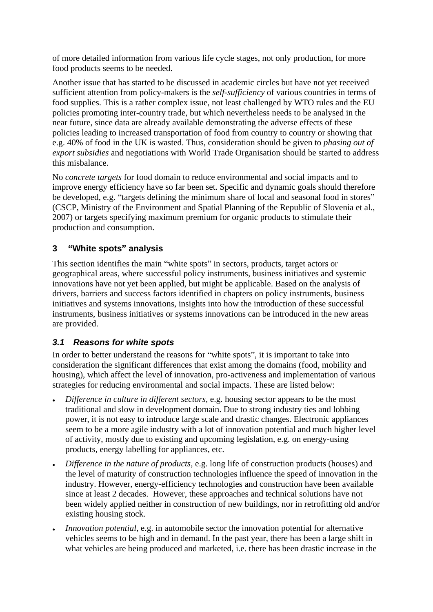of more detailed information from various life cycle stages, not only production, for more food products seems to be needed.

Another issue that has started to be discussed in academic circles but have not yet received sufficient attention from policy-makers is the *self-sufficiency* of various countries in terms of food supplies. This is a rather complex issue, not least challenged by WTO rules and the EU policies promoting inter-country trade, but which nevertheless needs to be analysed in the near future, since data are already available demonstrating the adverse effects of these policies leading to increased transportation of food from country to country or showing that e.g. 40% of food in the UK is wasted. Thus, consideration should be given to *phasing out of export subsidies* and negotiations with World Trade Organisation should be started to address this misbalance.

No *concrete targets* for food domain to reduce environmental and social impacts and to improve energy efficiency have so far been set. Specific and dynamic goals should therefore be developed, e.g. "targets defining the minimum share of local and seasonal food in stores" (CSCP, Ministry of the Environment and Spatial Planning of the Republic of Slovenia et al., 2007) or targets specifying maximum premium for organic products to stimulate their production and consumption.

### **3 White spots analysis**

This section identifies the main "white spots" in sectors, products, target actors or geographical areas, where successful policy instruments, business initiatives and systemic innovations have not yet been applied, but might be applicable. Based on the analysis of drivers, barriers and success factors identified in chapters on policy instruments, business initiatives and systems innovations, insights into how the introduction of these successful instruments, business initiatives or systems innovations can be introduced in the new areas are provided.

### **3.1 Reasons for white spots**

In order to better understand the reasons for "white spots", it is important to take into consideration the significant differences that exist among the domains (food, mobility and housing), which affect the level of innovation, pro-activeness and implementation of various strategies for reducing environmental and social impacts. These are listed below:

- *Difference in culture in different sectors*, e.g. housing sector appears to be the most traditional and slow in development domain. Due to strong industry ties and lobbing power, it is not easy to introduce large scale and drastic changes. Electronic appliances seem to be a more agile industry with a lot of innovation potential and much higher level of activity, mostly due to existing and upcoming legislation, e.g. on energy-using products, energy labelling for appliances, etc.
- *Difference in the nature of products*, e.g. long life of construction products (houses) and the level of maturity of construction technologies influence the speed of innovation in the industry. However, energy-efficiency technologies and construction have been available since at least 2 decades. However, these approaches and technical solutions have not been widely applied neither in construction of new buildings, nor in retrofitting old and/or existing housing stock.
- *Innovation potential*, e.g. in automobile sector the innovation potential for alternative vehicles seems to be high and in demand. In the past year, there has been a large shift in what vehicles are being produced and marketed, i.e. there has been drastic increase in the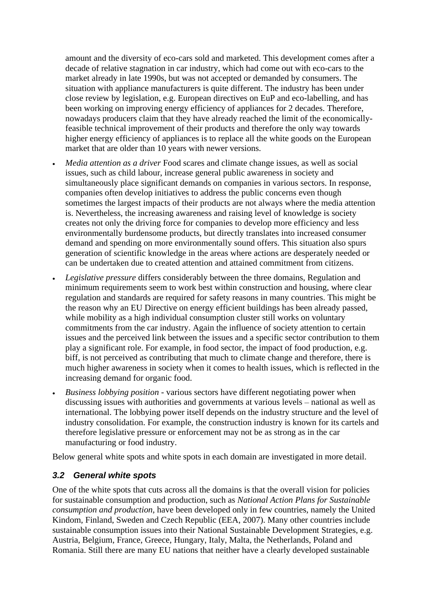amount and the diversity of eco-cars sold and marketed. This development comes after a decade of relative stagnation in car industry, which had come out with eco-cars to the market already in late 1990s, but was not accepted or demanded by consumers. The situation with appliance manufacturers is quite different. The industry has been under close review by legislation, e.g. European directives on EuP and eco-labelling, and has been working on improving energy efficiency of appliances for 2 decades. Therefore, nowadays producers claim that they have already reached the limit of the economicallyfeasible technical improvement of their products and therefore the only way towards higher energy efficiency of appliances is to replace all the white goods on the European market that are older than 10 years with newer versions.

- *Media attention as a driver* Food scares and climate change issues, as well as social issues, such as child labour, increase general public awareness in society and simultaneously place significant demands on companies in various sectors. In response, companies often develop initiatives to address the public concerns even though sometimes the largest impacts of their products are not always where the media attention is. Nevertheless, the increasing awareness and raising level of knowledge is society creates not only the driving force for companies to develop more efficiency and less environmentally burdensome products, but directly translates into increased consumer demand and spending on more environmentally sound offers. This situation also spurs generation of scientific knowledge in the areas where actions are desperately needed or can be undertaken due to created attention and attained commitment from citizens.
- *Legislative pressure* differs considerably between the three domains, Regulation and minimum requirements seem to work best within construction and housing, where clear regulation and standards are required for safety reasons in many countries. This might be the reason why an EU Directive on energy efficient buildings has been already passed, while mobility as a high individual consumption cluster still works on voluntary commitments from the car industry. Again the influence of society attention to certain issues and the perceived link between the issues and a specific sector contribution to them play a significant role. For example, in food sector, the impact of food production, e.g. biff, is not perceived as contributing that much to climate change and therefore, there is much higher awareness in society when it comes to health issues, which is reflected in the increasing demand for organic food.
- *Business lobbying position* various sectors have different negotiating power when discussing issues with authorities and governments at various levels – national as well as international. The lobbying power itself depends on the industry structure and the level of industry consolidation. For example, the construction industry is known for its cartels and therefore legislative pressure or enforcement may not be as strong as in the car manufacturing or food industry.

Below general white spots and white spots in each domain are investigated in more detail.

#### **3.2 General white spots**

One of the white spots that cuts across all the domains is that the overall vision for policies for sustainable consumption and production, such as *National Action Plans for Sustainable consumption and production*, have been developed only in few countries, namely the United Kindom, Finland, Sweden and Czech Republic (EEA, 2007). Many other countries include sustainable consumption issues into their National Sustainable Development Strategies, e.g. Austria, Belgium, France, Greece, Hungary, Italy, Malta, the Netherlands, Poland and Romania. Still there are many EU nations that neither have a clearly developed sustainable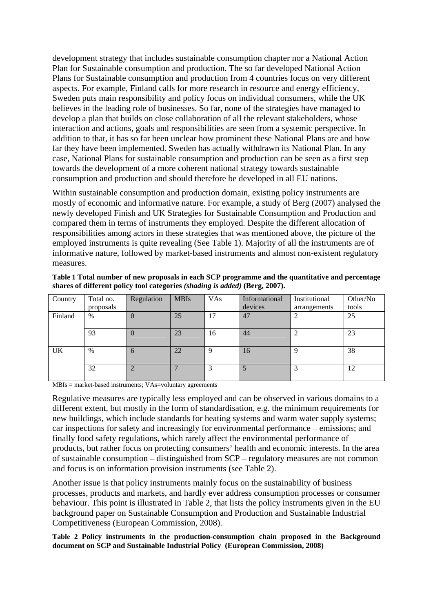development strategy that includes sustainable consumption chapter nor a National Action Plan for Sustainable consumption and production. The so far developed National Action Plans for Sustainable consumption and production from 4 countries focus on very different aspects. For example, Finland calls for more research in resource and energy efficiency, Sweden puts main responsibility and policy focus on individual consumers, while the UK believes in the leading role of businesses. So far, none of the strategies have managed to develop a plan that builds on close collaboration of all the relevant stakeholders, whose interaction and actions, goals and responsibilities are seen from a systemic perspective. In addition to that, it has so far been unclear how prominent these National Plans are and how far they have been implemented. Sweden has actually withdrawn its National Plan. In any case, National Plans for sustainable consumption and production can be seen as a first step towards the development of a more coherent national strategy towards sustainable consumption and production and should therefore be developed in all EU nations.

Within sustainable consumption and production domain, existing policy instruments are mostly of economic and informative nature. For example, a study of Berg (2007) analysed the newly developed Finish and UK Strategies for Sustainable Consumption and Production and compared them in terms of instruments they employed. Despite the different allocation of responsibilities among actors in these strategies that was mentioned above, the picture of the employed instruments is quite revealing (See Table 1). Majority of all the instruments are of informative nature, followed by market-based instruments and almost non-existent regulatory measures.

**Table 1 Total number of new proposals in each SCP programme and the quantitative and percentage shares of different policy tool categories** *(shading is added)* **(Berg, 2007).**

|         |                                | Regulation MBIs |                         | VAs | Informational Institutional |                    | Other/No |
|---------|--------------------------------|-----------------|-------------------------|-----|-----------------------------|--------------------|----------|
|         | Country Total no.<br>proposals |                 |                         |     | devices                     | arrangements tools |          |
| Finland |                                |                 |                         |     | $\sqrt{47}$                 |                    |          |
|         |                                |                 |                         |     |                             |                    |          |
|         | 93                             |                 | -23                     | 16  | $\vert 44 \vert$            |                    |          |
|         |                                |                 |                         |     |                             |                    |          |
|         |                                |                 | ാറ<br>$\angle \angle L$ |     | 16                          |                    |          |
|         |                                |                 |                         |     |                             |                    |          |
|         | ہے ر                           |                 |                         |     |                             |                    |          |
|         |                                |                 |                         |     |                             |                    |          |

MBIs = market-based instruments; VAs=voluntary agreements

Regulative measures are typically less employed and can be observed in various domains to a different extent, but mostly in the form of standardisation, e.g. the minimum requirements for new buildings, which include standards for heating systems and warm water supply systems; car inspections for safety and increasingly for environmental performance – emissions; and finally food safety regulations, which rarely affect the environmental performance of products, but rather focus on protecting consumers' health and economic interests. In the area of sustainable consumption  $-$  distinguished from  $SCP$  - regulatory measures are not common and focus is on information provision instruments (see Table 2).

Another issue is that policy instruments mainly focus on the sustainability of business processes, products and markets, and hardly ever address consumption processes or consumer behaviour. This point is illustrated in Table 2, that lists the policy instruments given in the EU background paper on Sustainable Consumption and Production and Sustainable Industrial Competitiveness (European Commission, 2008).

**Table 2 Policy instruments in the production-consumption chain proposed in the Background document on SCP and Sustainable Industrial Policy (European Commission, 2008)**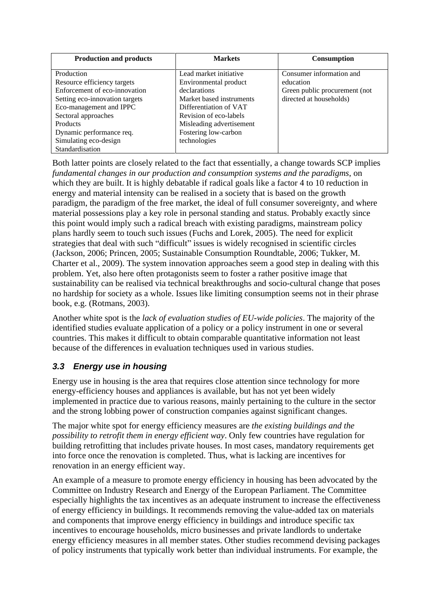| <b>Production and products</b> | <b>Markets</b>              | <b>Consumption</b>            |
|--------------------------------|-----------------------------|-------------------------------|
| Production                     | Lead market initiative      | Consumer information and      |
| Resource efficiency targets    | Environmental product       | education                     |
| Enforcement of eco-innovation  | declarations                | Green public procurement (not |
| Setting eco-innovation targets | Market based instruments    | directed at households)       |
| Eco-management and IPPC        | Differentiation of VAT      |                               |
| Sectoral approaches            | Revision of eco-labels      |                               |
| Products                       | Misleading advertisement    |                               |
| Dynamic performance req.       | <b>Fostering low-carbon</b> |                               |
| Simulating eco-design          | technologies                |                               |
| Standardisation                |                             |                               |

Both latter points are closely related to the fact that essentially, a change towards SCP implies *fundamental changes in our production and consumption systems and the paradigms*, on which they are built. It is highly debatable if radical goals like a factor 4 to 10 reduction in energy and material intensity can be realised in a society that is based on the growth paradigm, the paradigm of the free market, the ideal of full consumer sovereignty, and where material possessions play a key role in personal standing and status. Probably exactly since this point would imply such a radical breach with existing paradigms, mainstream policy plans hardly seem to touch such issues (Fuchs and Lorek, 2005). The need for explicit strategies that deal with such "difficult" issues is widely recognised in scientific circles (Jackson, 2006; Princen, 2005; Sustainable Consumption Roundtable, 2006; Tukker, M. Charter et al., 2009). The system innovation approaches seem a good step in dealing with this problem. Yet, also here often protagonists seem to foster a rather positive image that sustainability can be realised via technical breakthroughs and socio-cultural change that poses no hardship for society as a whole. Issues like limiting consumption seems not in their phrase book, e.g. (Rotmans, 2003).

Another white spot is the *lack of evaluation studies of EU-wide policies*. The majority of the identified studies evaluate application of a policy or a policy instrument in one or several countries. This makes it difficult to obtain comparable quantitative information not least because of the differences in evaluation techniques used in various studies.

## **3.3 Energy use in housing**

Energy use in housing is the area that requires close attention since technology for more energy-efficiency houses and appliances is available, but has not yet been widely implemented in practice due to various reasons, mainly pertaining to the culture in the sector and the strong lobbing power of construction companies against significant changes.

The major white spot for energy efficiency measures are *the existing buildings and the possibility to retrofit them in energy efficient way*. Only few countries have regulation for building retrofitting that includes private houses. In most cases, mandatory requirements get into force once the renovation is completed. Thus, what is lacking are incentives for renovation in an energy efficient way.

An example of a measure to promote energy efficiency in housing has been advocated by the Committee on Industry Research and Energy of the European Parliament. The Committee especially highlights the tax incentives as an adequate instrument to increase the effectiveness of energy efficiency in buildings. It recommends removing the value-added tax on materials and components that improve energy efficiency in buildings and introduce specific tax incentives to encourage households, micro businesses and private landlords to undertake energy efficiency measures in all member states. Other studies recommend devising packages of policy instruments that typically work better than individual instruments. For example, the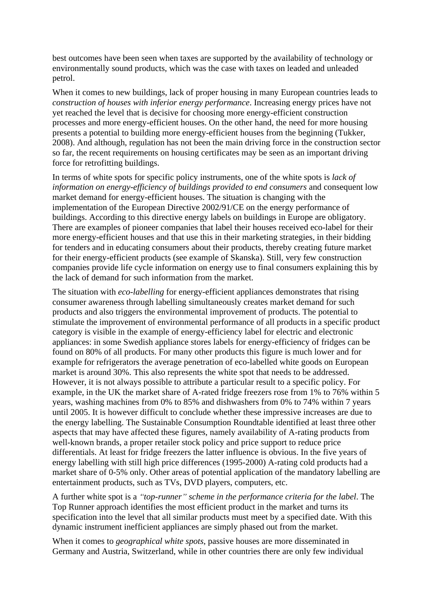best outcomes have been seen when taxes are supported by the availability of technology or environmentally sound products, which was the case with taxes on leaded and unleaded petrol.

When it comes to new buildings, lack of proper housing in many European countries leads to *construction of houses with inferior energy performance*. Increasing energy prices have not yet reached the level that is decisive for choosing more energy-efficient construction processes and more energy-efficient houses. On the other hand, the need for more housing presents a potential to building more energy-efficient houses from the beginning (Tukker, 2008). And although, regulation has not been the main driving force in the construction sector so far, the recent requirements on housing certificates may be seen as an important driving force for retrofitting buildings.

In terms of white spots for specific policy instruments, one of the white spots is *lack of information on energy-efficiency of buildings provided to end consumers* and consequent low market demand for energy-efficient houses. The situation is changing with the implementation of the European Directive 2002/91/CE on the energy performance of buildings. According to this directive energy labels on buildings in Europe are obligatory. There are examples of pioneer companies that label their houses received eco-label for their more energy-efficient houses and that use this in their marketing strategies, in their bidding for tenders and in educating consumers about their products, thereby creating future market for their energy-efficient products (see example of Skanska). Still, very few construction companies provide life cycle information on energy use to final consumers explaining this by the lack of demand for such information from the market.

The situation with *eco-labelling* for energy-efficient appliances demonstrates that rising consumer awareness through labelling simultaneously creates market demand for such products and also triggers the environmental improvement of products. The potential to stimulate the improvement of environmental performance of all products in a specific product category is visible in the example of energy-efficiency label for electric and electronic appliances: in some Swedish appliance stores labels for energy-efficiency of fridges can be found on 80% of all products. For many other products this figure is much lower and for example for refrigerators the average penetration of eco-labelled white goods on European market is around 30%. This also represents the white spot that needs to be addressed. However, it is not always possible to attribute a particular result to a specific policy. For example, in the UK the market share of A-rated fridge freezers rose from 1% to 76% within 5 years, washing machines from 0% to 85% and dishwashers from 0% to 74% within 7 years until 2005. It is however difficult to conclude whether these impressive increases are due to the energy labelling. The Sustainable Consumption Roundtable identified at least three other aspects that may have affected these figures, namely availability of A-rating products from well-known brands, a proper retailer stock policy and price support to reduce price differentials. At least for fridge freezers the latter influence is obvious. In the five years of energy labelling with still high price differences (1995-2000) A-rating cold products had a market share of 0-5% only. Other areas of potential application of the mandatory labelling are entertainment products, such as TVs, DVD players, computers, etc.

A further white spot is a *top-runner scheme in the performance criteria for the label*. The Top Runner approach identifies the most efficient product in the market and turns its specification into the level that all similar products must meet by a specified date. With this dynamic instrument inefficient appliances are simply phased out from the market.

When it comes to *geographical white spots*, passive houses are more disseminated in Germany and Austria, Switzerland, while in other countries there are only few individual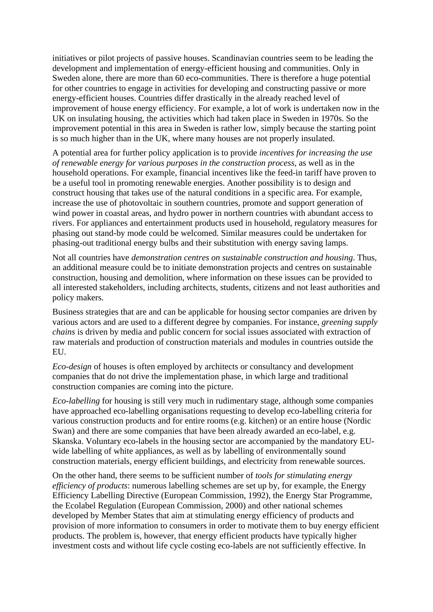initiatives or pilot projects of passive houses. Scandinavian countries seem to be leading the development and implementation of energy-efficient housing and communities. Only in Sweden alone, there are more than 60 eco-communities. There is therefore a huge potential for other countries to engage in activities for developing and constructing passive or more energy-efficient houses. Countries differ drastically in the already reached level of improvement of house energy efficiency. For example, a lot of work is undertaken now in the UK on insulating housing, the activities which had taken place in Sweden in 1970s. So the improvement potential in this area in Sweden is rather low, simply because the starting point is so much higher than in the UK, where many houses are not properly insulated.

A potential area for further policy application is to provide *incentives for increasing the use of renewable energy for various purposes in the construction process*, as well as in the household operations. For example, financial incentives like the feed-in tariff have proven to be a useful tool in promoting renewable energies. Another possibility is to design and construct housing that takes use of the natural conditions in a specific area. For example, increase the use of photovoltaic in southern countries, promote and support generation of wind power in coastal areas, and hydro power in northern countries with abundant access to rivers. For appliances and entertainment products used in household, regulatory measures for phasing out stand-by mode could be welcomed. Similar measures could be undertaken for phasing-out traditional energy bulbs and their substitution with energy saving lamps.

Not all countries have *demonstration centres on sustainable construction and housing*. Thus, an additional measure could be to initiate demonstration projects and centres on sustainable construction, housing and demolition, where information on these issues can be provided to all interested stakeholders, including architects, students, citizens and not least authorities and policy makers.

Business strategies that are and can be applicable for housing sector companies are driven by various actors and are used to a different degree by companies. For instance, *greening supply chains* is driven by media and public concern for social issues associated with extraction of raw materials and production of construction materials and modules in countries outside the EU.

*Eco-design* of houses is often employed by architects or consultancy and development companies that do not drive the implementation phase, in which large and traditional construction companies are coming into the picture.

*Eco-labelling* for housing is still very much in rudimentary stage, although some companies have approached eco-labelling organisations requesting to develop eco-labelling criteria for various construction products and for entire rooms (e.g. kitchen) or an entire house (Nordic Swan) and there are some companies that have been already awarded an eco-label, e.g. Skanska. Voluntary eco-labels in the housing sector are accompanied by the mandatory EU wide labelling of white appliances, as well as by labelling of environmentally sound construction materials, energy efficient buildings, and electricity from renewable sources.

On the other hand, there seems to be sufficient number of *tools for stimulating energy efficiency of products*: numerous labelling schemes are set up by, for example, the Energy Efficiency Labelling Directive (European Commission, 1992), the Energy Star Programme, the Ecolabel Regulation (European Commission, 2000) and other national schemes developed by Member States that aim at stimulating energy efficiency of products and provision of more information to consumers in order to motivate them to buy energy efficient products. The problem is, however, that energy efficient products have typically higher investment costs and without life cycle costing eco-labels are not sufficiently effective. In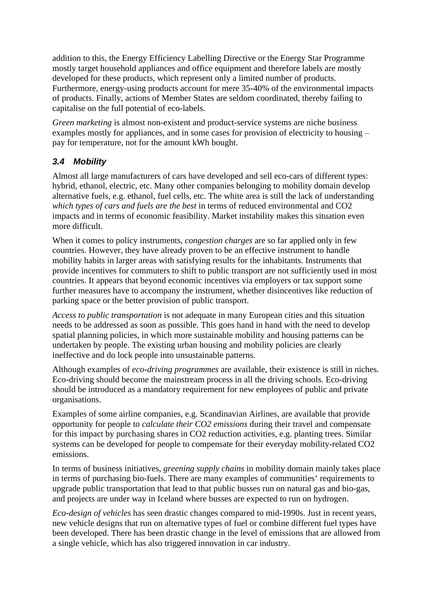addition to this, the Energy Efficiency Labelling Directive or the Energy Star Programme mostly target household appliances and office equipment and therefore labels are mostly developed for these products, which represent only a limited number of products. Furthermore, energy-using products account for mere 35-40% of the environmental impacts of products. Finally, actions of Member States are seldom coordinated, thereby failing to capitalise on the full potential of eco-labels.

*Green marketing* is almost non-existent and product-service systems are niche business examples mostly for appliances, and in some cases for provision of electricity to housing – pay for temperature, not for the amount kWh bought.

## **3.4 Mobility**

Almost all large manufacturers of cars have developed and sell eco-cars of different types: hybrid, ethanol, electric, etc. Many other companies belonging to mobility domain develop alternative fuels, e.g. ethanol, fuel cells, etc. The white area is still the lack of understanding *which types of cars and fuels are the best* in terms of reduced environmental and CO2 impacts and in terms of economic feasibility. Market instability makes this situation even more difficult.

When it comes to policy instruments, *congestion charges* are so far applied only in few countries. However, they have already proven to be an effective instrument to handle mobility habits in larger areas with satisfying results for the inhabitants. Instruments that provide incentives for commuters to shift to public transport are not sufficiently used in most countries. It appears that beyond economic incentives via employers or tax support some further measures have to accompany the instrument, whether disincentives like reduction of parking space or the better provision of public transport.

*Access to public transportation* is not adequate in many European cities and this situation needs to be addressed as soon as possible. This goes hand in hand with the need to develop spatial planning policies, in which more sustainable mobility and housing patterns can be undertaken by people. The existing urban housing and mobility policies are clearly ineffective and do lock people into unsustainable patterns.

Although examples of *eco-driving programmes* are available, their existence is still in niches. Eco-driving should become the mainstream process in all the driving schools. Eco-driving should be introduced as a mandatory requirement for new employees of public and private organisations.

Examples of some airline companies, e.g. Scandinavian Airlines, are available that provide opportunity for people to *calculate their CO2 emissions* during their travel and compensate for this impact by purchasing shares in CO2 reduction activities, e.g. planting trees. Similar systems can be developed for people to compensate for their everyday mobility-related CO2 emissions.

In terms of business initiatives, *greening supply chains* in mobility domain mainly takes place in terms of purchasing bio-fuels. There are many examples of communities' requirements to upgrade public transportation that lead to that public busses run on natural gas and bio-gas, and projects are under way in Iceland where busses are expected to run on hydrogen.

*Eco-design of vehicles* has seen drastic changes compared to mid-1990s. Just in recent years, new vehicle designs that run on alternative types of fuel or combine different fuel types have been developed. There has been drastic change in the level of emissions that are allowed from a single vehicle, which has also triggered innovation in car industry.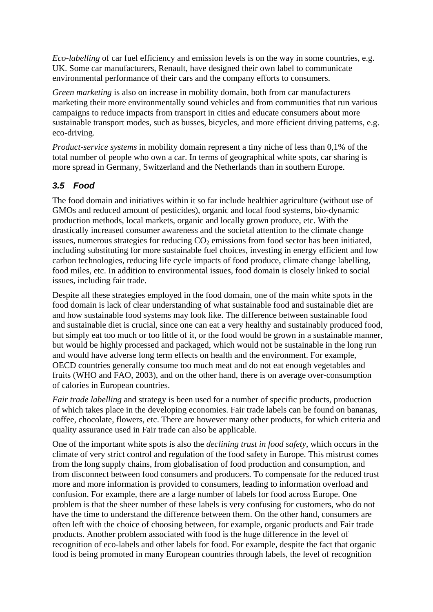*Eco-labelling* of car fuel efficiency and emission levels is on the way in some countries, e.g. UK. Some car manufacturers, Renault, have designed their own label to communicate environmental performance of their cars and the company efforts to consumers.

*Green marketing* is also on increase in mobility domain, both from car manufacturers marketing their more environmentally sound vehicles and from communities that run various campaigns to reduce impacts from transport in cities and educate consumers about more sustainable transport modes, such as busses, bicycles, and more efficient driving patterns, e.g. eco-driving.

*Product-service systems* in mobility domain represent a tiny niche of less than 0,1% of the total number of people who own a car. In terms of geographical white spots, car sharing is more spread in Germany, Switzerland and the Netherlands than in southern Europe.

### **3.5 Food**

The food domain and initiatives within it so far include healthier agriculture (without use of GMOs and reduced amount of pesticides), organic and local food systems, bio-dynamic production methods, local markets, organic and locally grown produce, etc. With the drastically increased consumer awareness and the societal attention to the climate change issues, numerous strategies for reducing  $CO<sub>2</sub>$  emissions from food sector has been initiated, including substituting for more sustainable fuel choices, investing in energy efficient and low carbon technologies, reducing life cycle impacts of food produce, climate change labelling, food miles, etc. In addition to environmental issues, food domain is closely linked to social issues, including fair trade.

Despite all these strategies employed in the food domain, one of the main white spots in the food domain is lack of clear understanding of what sustainable food and sustainable diet are and how sustainable food systems may look like. The difference between sustainable food and sustainable diet is crucial, since one can eat a very healthy and sustainably produced food, but simply eat too much or too little of it, or the food would be grown in a sustainable manner, but would be highly processed and packaged, which would not be sustainable in the long run and would have adverse long term effects on health and the environment. For example, OECD countries generally consume too much meat and do not eat enough vegetables and fruits (WHO and FAO, 2003), and on the other hand, there is on average over-consumption of calories in European countries.

*Fair trade labelling* and strategy is been used for a number of specific products, production of which takes place in the developing economies. Fair trade labels can be found on bananas, coffee, chocolate, flowers, etc. There are however many other products, for which criteria and quality assurance used in Fair trade can also be applicable.

One of the important white spots is also the *declining trust in food safety*, which occurs in the climate of very strict control and regulation of the food safety in Europe. This mistrust comes from the long supply chains, from globalisation of food production and consumption, and from disconnect between food consumers and producers. To compensate for the reduced trust more and more information is provided to consumers, leading to information overload and confusion. For example, there are a large number of labels for food across Europe. One problem is that the sheer number of these labels is very confusing for customers, who do not have the time to understand the difference between them. On the other hand, consumers are often left with the choice of choosing between, for example, organic products and Fair trade products. Another problem associated with food is the huge difference in the level of recognition of eco-labels and other labels for food. For example, despite the fact that organic food is being promoted in many European countries through labels, the level of recognition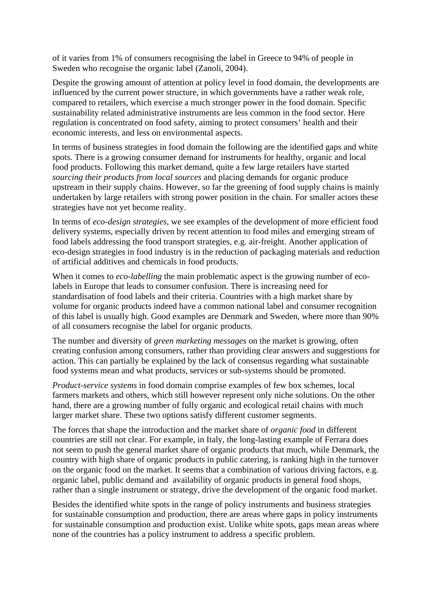of it varies from 1% of consumers recognising the label in Greece to 94% of people in Sweden who recognise the organic label (Zanoli, 2004).<br>Despite the growing amount of attention at policy level in food domain, the developments are

influenced by the current power structure, in which governments have a rather weak role, compared to retailers, which exercise a much stronger power in the food domain. Specific sustainability related administrative instruments are less common in the food sector. Here regulation is concentrated on food safety, aiming to protect consumers' health and their economic interests, and less on environmental aspects.

In terms of business strategies in food domain the following are the identified gaps and white spots. There is a growing consumer demand for instruments for healthy, organic and local food products. Following this market demand, quite a few large retailers have started *sourcing their products from local sources* and placing demands for organic produce upstream in their supply chains. However, so far the greening of food supply chains is mainly undertaken by large retailers with strong power position in the chain. For smaller actors these strategies have not yet become reality.

In terms of *eco-design strategies*, we see examples of the development of more efficient food delivery systems, especially driven by recent attention to food miles and emerging stream of food labels addressing the food transport strategies, e.g. air-freight. Another application of eco-design strategies in food industry is in the reduction of packaging materials and reduction of artificial additives and chemicals in food products.

When it comes to *eco-labelling* the main problematic aspect is the growing number of ecolabels in Europe that leads to consumer confusion. There is increasing need for standardisation of food labels and their criteria. Countries with a high market share by volume for organic products indeed have a common national label and consumer recognition of this label is usually high. Good examples are Denmark and Sweden, where more than 90% of all consumers recognise the label for organic products.

The number and diversity of *green marketing messages* on the market is growing, often creating confusion among consumers, rather than providing clear answers and suggestions for action. This can partially be explained by the lack of consensus regarding what sustainable food systems mean and what products, services or sub-systems should be promoted.

*Product-service systems* in food domain comprise examples of few box schemes, local farmers markets and others, which still however represent only niche solutions. On the other hand, there are a growing number of fully organic and ecological retail chains with much larger market share. These two options satisfy different customer segments.

The forces that shape the introduction and the market share of *organic food* in different countries are still not clear. For example, in Italy, the long-lasting example of Ferrara does not seem to push the general market share of organic products that much, while Denmark, the country with high share of organic products in public catering, is ranking high in the turnover on the organic food on the market. It seems that a combination of various driving factors, e.g. organic label, public demand and availability of organic products in general food shops, rather than a single instrument or strategy, drive the development of the organic food market.

Besides the identified white spots in the range of policy instruments and business strategies for sustainable consumption and production, there are areas where gaps in policy instruments for sustainable consumption and production exist. Unlike white spots, gaps mean areas where none of the countries has a policy instrument to address a specific problem.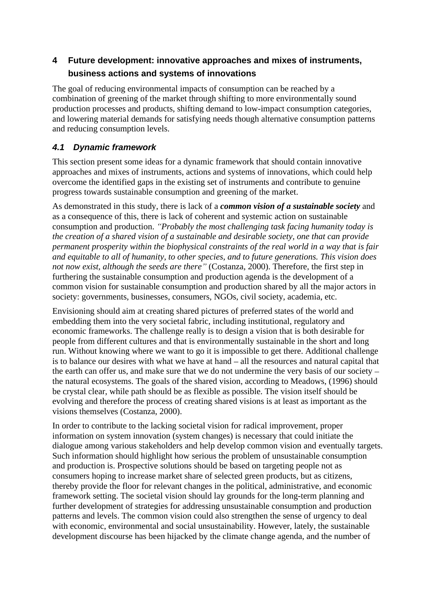# **4 Future development: innovative approaches and mixes of instruments, business actions and systems of innovations**

The goal of reducing environmental impacts of consumption can be reached by a combination of greening of the market through shifting to more environmentally sound production processes and products, shifting demand to low-impact consumption categories, and lowering material demands for satisfying needs though alternative consumption patterns and reducing consumption levels.

## **4.1 Dynamic framework**

This section present some ideas for a dynamic framework that should contain innovative approaches and mixes of instruments, actions and systems of innovations, which could help overcome the identified gaps in the existing set of instruments and contribute to genuine progress towards sustainable consumption and greening of the market.

As demonstrated in this study, there is lack of a *common vision of a sustainable society* and as a consequence of this, there is lack of coherent and systemic action on sustainable consumption and production. *Probably the most challenging task facing humanity today is the creation of a shared vision of a sustainable and desirable society, one that can provide permanent prosperity within the biophysical constraints of the real world in a way that is fair and equitable to all of humanity, to other species, and to future generations. This vision does not now exist, although the seeds are there* (Costanza, 2000). Therefore, the first step in furthering the sustainable consumption and production agenda is the development of a common vision for sustainable consumption and production shared by all the major actors in society: governments, businesses, consumers, NGOs, civil society, academia, etc.

Envisioning should aim at creating shared pictures of preferred states of the world and embedding them into the very societal fabric, including institutional, regulatory and economic frameworks. The challenge really is to design a vision that is both desirable for people from different cultures and that is environmentally sustainable in the short and long run. Without knowing where we want to go it is impossible to get there. Additional challenge is to balance our desires with what we have at hand  $-$  all the resources and natural capital that the earth can offer us, and make sure that we do not undermine the very basis of our society the natural ecosystems. The goals of the shared vision, according to Meadows, (1996) should be crystal clear, while path should be as flexible as possible. The vision itself should be evolving and therefore the process of creating shared visions is at least as important as the visions themselves (Costanza, 2000). In order to contribute to the lacking societal vision for radical improvement, proper

information on system innovation (system changes) is necessary that could initiate the dialogue among various stakeholders and help develop common vision and eventually targets. Such information should highlight how serious the problem of unsustainable consumption and production is. Prospective solutions should be based on targeting people not as consumers hoping to increase market share of selected green products, but as citizens, thereby provide the floor for relevant changes in the political, administrative, and economic framework setting. The societal vision should lay grounds for the long-term planning and further development of strategies for addressing unsustainable consumption and production patterns and levels. The common vision could also strengthen the sense of urgency to deal with economic, environmental and social unsustainability. However, lately, the sustainable development discourse has been hijacked by the climate change agenda, and the number of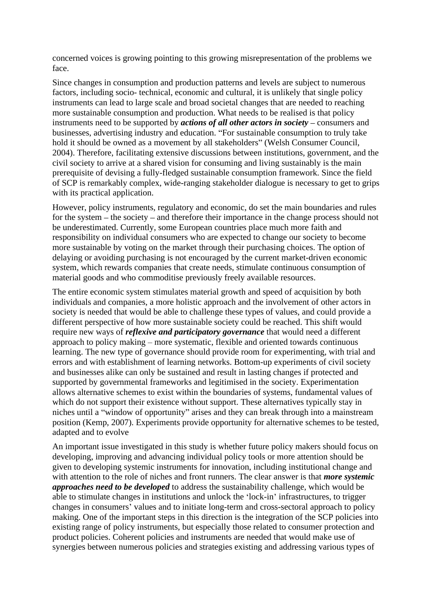concerned voices is growing pointing to this growing misrepresentation of the problems we face.

Since changes in consumption and production patterns and levels are subject to numerous factors, including socio- technical, economic and cultural, it is unlikely that single policy instruments can lead to large scale and broad societal changes that are needed to reaching more sustainable consumption and production. What needs to be realised is that policy instruments need to be supported by *actions of all other actors in society* – consumers and businesses, advertising industry and education. For sustainable consumption to truly take hold it should be owned as a movement by all stakeholders" (Welsh Consumer Council, 2004). Therefore, facilitating extensive discussions between institutions, government, and the civil society to arrive at a shared vision for consuming and living sustainably is the main prerequisite of devising a fully-fledged sustainable consumption framework. Since the field of SCP is remarkably complex, wide-ranging stakeholder dialogue is necessary to get to grips with its practical application.

However, policy instruments, regulatory and economic, do set the main boundaries and rules for the system  $-$  the society  $-$  and therefore their importance in the change process should not be underestimated. Currently, some European countries place much more faith and responsibility on individual consumers who are expected to change our society to become more sustainable by voting on the market through their purchasing choices. The option of delaying or avoiding purchasing is not encouraged by the current market-driven economic system, which rewards companies that create needs, stimulate continuous consumption of material goods and who commoditise previously freely available resources.

The entire economic system stimulates material growth and speed of acquisition by both individuals and companies, a more holistic approach and the involvement of other actors in society is needed that would be able to challenge these types of values, and could provide a different perspective of how more sustainable society could be reached. This shift would require new ways of *reflexive and participatory governance* that would need a different approach to policy making  $-$  more systematic, flexible and oriented towards continuous learning. The new type of governance should provide room for experimenting, with trial and errors and with establishment of learning networks. Bottom-up experiments of civil society and businesses alike can only be sustained and result in lasting changes if protected and supported by governmental frameworks and legitimised in the society. Experimentation allows alternative schemes to exist within the boundaries of systems, fundamental values of which do not support their existence without support. These alternatives typically stay in niches until a "window of opportunity" arises and they can break through into a mainstream position (Kemp, 2007). Experiments provide opportunity for alternative schemes to be tested, adapted and to evolve

An important issue investigated in this study is whether future policy makers should focus on developing, improving and advancing individual policy tools or more attention should be given to developing systemic instruments for innovation, including institutional change and with attention to the role of niches and front runners. The clear answer is that *more systemic approaches need to be developed* to address the sustainability challenge, which would be able to stimulate changes in institutions and unlock the 'lock-in' infrastructures, to trigger changes in consumers values and to initiate long-term and cross-sectoral approach to policy making. One of the important steps in this direction is the integration of the SCP policies into existing range of policy instruments, but especially those related to consumer protection and product policies. Coherent policies and instruments are needed that would make use of synergies between numerous policies and strategies existing and addressing various types of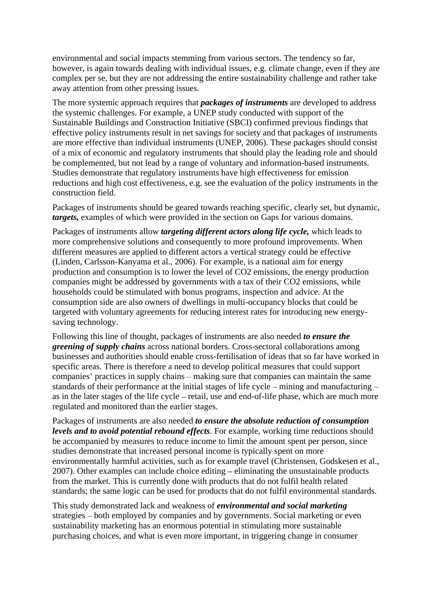environmental and social impacts stemming from various sectors. The tendency so far, however, is again towards dealing with individual issues, e.g. climate change, even if they are complex per se, but they are not addressing the entire sustainability challenge and rather take away attention from other pressing issues.

The more systemic approach requires that *packages of instruments* are developed to address the systemic challenges. For example, a UNEP study conducted with support of the Sustainable Buildings and Construction Initiative (SBCI) confirmed previous findings that effective policy instruments result in net savings for society and that packages of instruments are more effective than individual instruments (UNEP, 2006). These packages should consist of a mix of economic and regulatory instruments that should play the leading role and should be complemented, but not lead by a range of voluntary and information-based instruments. Studies demonstrate that regulatory instruments have high effectiveness for emission reductions and high cost effectiveness, e.g. see the evaluation of the policy instruments in the construction field.

Packages of instruments should be geared towards reaching specific, clearly set, but dynamic, *targets,* examples of which were provided in the section on Gaps for various domains.

Packages of instruments allow *targeting different actors along life cycle,* which leads to more comprehensive solutions and consequently to more profound improvements. When different measures are applied to different actors a vertical strategy could be effective (Linden, Carlsson-Kanyama et al., 2006). For example, is a national aim for energy production and consumption is to lower the level of CO2 emissions, the energy production companies might be addressed by governments with a tax of their CO2 emissions, while households could be stimulated with bonus programs, inspection and advice. At the consumption side are also owners of dwellings in multi-occupancy blocks that could be targeted with voluntary agreements for reducing interest rates for introducing new energy saving technology.

Following this line of thought, packages of instruments are also needed *to ensure the greening of supply chains* across national borders. Cross-sectoral collaborations among businesses and authorities should enable cross-fertilisation of ideas that so far have worked in specific areas. There is therefore a need to develop political measures that could support companies' practices in supply chains – making sure that companies can maintain the same standards of their performance at the initial stages of life cycle – mining and manufacturing – as in the later stages of the life cycle  $-$  retail, use and end-of-life phase, which are much more regulated and monitored than the earlier stages.

Packages of instruments are also needed *to ensure the absolute reduction of consumption levels and to avoid potential rebound effects*. For example, working time reductions should be accompanied by measures to reduce income to limit the amount spent per person, since studies demonstrate that increased personal income is typically spent on more environmentally harmful activities, such as for example travel (Christensen, Godskesen et al.,  $2007$ ). Other examples can include choice editing  $-$  eliminating the unsustainable products from the market. This is currently done with products that do not fulfil health related standards; the same logic can be used for products that do not fulfil environmental standards.

This study demonstrated lack and weakness of *environmental and social marketing* strategies – both employed by companies and by governments. Social marketing or even sustainability marketing has an enormous potential in stimulating more sustainable purchasing choices, and what is even more important, in triggering change in consumer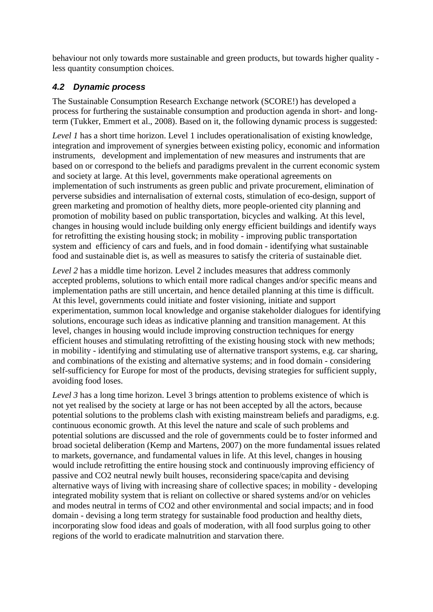behaviour not only towards more sustainable and green products, but towards higher quality less quantity consumption choices.

### **4.2 Dynamic process**

The Sustainable Consumption Research Exchange network (SCORE!) has developed a process for furthering the sustainable consumption and production agenda in short- and longterm (Tukker, Emmert et al., 2008). Based on it, the following dynamic process is suggested:

*Level 1* has a short time horizon. Level 1 includes operationalisation of existing knowledge, integration and improvement of synergies between existing policy, economic and information instruments, development and implementation of new measures and instruments that are based on or correspond to the beliefs and paradigms prevalent in the current economic system and society at large. At this level, governments make operational agreements on implementation of such instruments as green public and private procurement, elimination of perverse subsidies and internalisation of external costs, stimulation of eco-design, support of green marketing and promotion of healthy diets, more people-oriented city planning and promotion of mobility based on public transportation, bicycles and walking. At this level, changes in housing would include building only energy efficient buildings and identify ways for retrofitting the existing housing stock; in mobility - improving public transportation system and efficiency of cars and fuels, and in food domain - identifying what sustainable food and sustainable diet is, as well as measures to satisfy the criteria of sustainable diet.

*Level 2* has a middle time horizon. Level 2 includes measures that address commonly accepted problems, solutions to which entail more radical changes and/or specific means and implementation paths are still uncertain, and hence detailed planning at this time is difficult. At this level, governments could initiate and foster visioning, initiate and support experimentation, summon local knowledge and organise stakeholder dialogues for identifying solutions, encourage such ideas as indicative planning and transition management. At this level, changes in housing would include improving construction techniques for energy efficient houses and stimulating retrofitting of the existing housing stock with new methods; in mobility - identifying and stimulating use of alternative transport systems, e.g. car sharing, and combinations of the existing and alternative systems; and in food domain - considering self-sufficiency for Europe for most of the products, devising strategies for sufficient supply, avoiding food loses.

*Level 3* has a long time horizon. Level 3 brings attention to problems existence of which is not yet realised by the society at large or has not been accepted by all the actors, because potential solutions to the problems clash with existing mainstream beliefs and paradigms, e.g. continuous economic growth. At this level the nature and scale of such problems and potential solutions are discussed and the role of governments could be to foster informed and broad societal deliberation (Kemp and Martens, 2007) on the more fundamental issues related to markets, governance, and fundamental values in life. At this level, changes in housing would include retrofitting the entire housing stock and continuously improving efficiency of passive and CO2 neutral newly built houses, reconsidering space/capita and devising alternative ways of living with increasing share of collective spaces; in mobility - developing integrated mobility system that is reliant on collective or shared systems and/or on vehicles and modes neutral in terms of CO2 and other environmental and social impacts; and in food domain - devising a long term strategy for sustainable food production and healthy diets, incorporating slow food ideas and goals of moderation, with all food surplus going to other regions of the world to eradicate malnutrition and starvation there.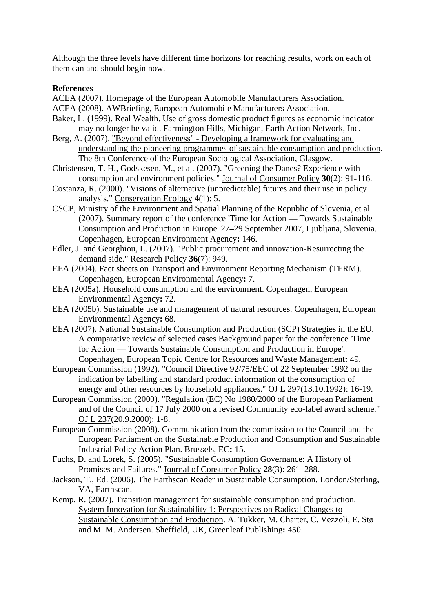Although the three levels have different time horizons for reaching results, work on each of them can and should begin now.

#### **References**

- ACEA (2007). Homepage of the European Automobile Manufacturers Association.
- ACEA (2008). AWBriefing, European Automobile Manufacturers Association.
- Baker, L. (1999). Real Wealth. Use of gross domestic product figures as economic indicator may no longer be valid. Farmington Hills, Michigan, Earth Action Network, Inc.
- Berg, A. (2007). "Beyond effectiveness" Developing a framework for evaluating and understanding the pioneering programmes of sustainable consumption and production. The 8th Conference of the European Sociological Association, Glasgow.
- Christensen, T. H., Godskesen, M., et al. (2007). "Greening the Danes? Experience with consumption and environment policies." Journal of Consumer Policy **30**(2): 91-116.
- Costanza, R. (2000). "Visions of alternative (unpredictable) futures and their use in policy analysis." Conservation Ecology **4**(1): 5.
- CSCP, Ministry of the Environment and Spatial Planning of the Republic of Slovenia, et al.  $(2007)$ . Summary report of the conference 'Time for Action — Towards Sustainable Consumption and Production in Europe' 27 29 September 2007, Ljubljana, Slovenia. Copenhagen, European Environment Agency**:** 146.
- Edler, J. and Georghiou, L. (2007). "Public procurement and innovation-Resurrecting the demand side." Research Policy **36**(7): 949.
- EEA (2004). Fact sheets on Transport and Environment Reporting Mechanism (TERM). Copenhagen, European Environmental Agency**:** 7.
- EEA (2005a). Household consumption and the environment. Copenhagen, European Environmental Agency**:** 72.
- EEA (2005b). Sustainable use and management of natural resources. Copenhagen, European Environmental Agency**:** 68.
- EEA (2007). National Sustainable Consumption and Production (SCP) Strategies in the EU. A comparative review of selected cases Background paper for the conference 'Time for Action — Towards Sustainable Consumption and Production in Europe'. Copenhagen, European Topic Centre for Resources and Waste Management**:** 49.
- European Commission (1992). "Council Directive 92/75/EEC of 22 September 1992 on the indication by labelling and standard product information of the consumption of energy and other resources by household appliances." OJ L 297(13.10.1992): 16-19.
- European Commission (2000). "Regulation (EC) No 1980/2000 of the European Parliament and of the Council of 17 July 2000 on a revised Community eco-label award scheme." OJ L 237(20.9.2000): 1-8.
- European Commission (2008). Communication from the commission to the Council and the European Parliament on the Sustainable Production and Consumption and Sustainable Industrial Policy Action Plan. Brussels, EC**:** 15.
- Fuchs, D. and Lorek, S. (2005). "Sustainable Consumption Governance: A History of Promises and Failures." Journal of Consumer Policy 28(3): 261–288.
- Jackson, T., Ed. (2006). The Earthscan Reader in Sustainable Consumption. London/Sterling, VA, Earthscan.
- Kemp, R. (2007). Transition management for sustainable consumption and production. System Innovation for Sustainability 1: Perspectives on Radical Changes to Sustainable Consumption and Production. A. Tukker, M. Charter, C. Vezzoli, E. Stø and M. M. Andersen. Sheffield, UK, Greenleaf Publishing**:** 450.